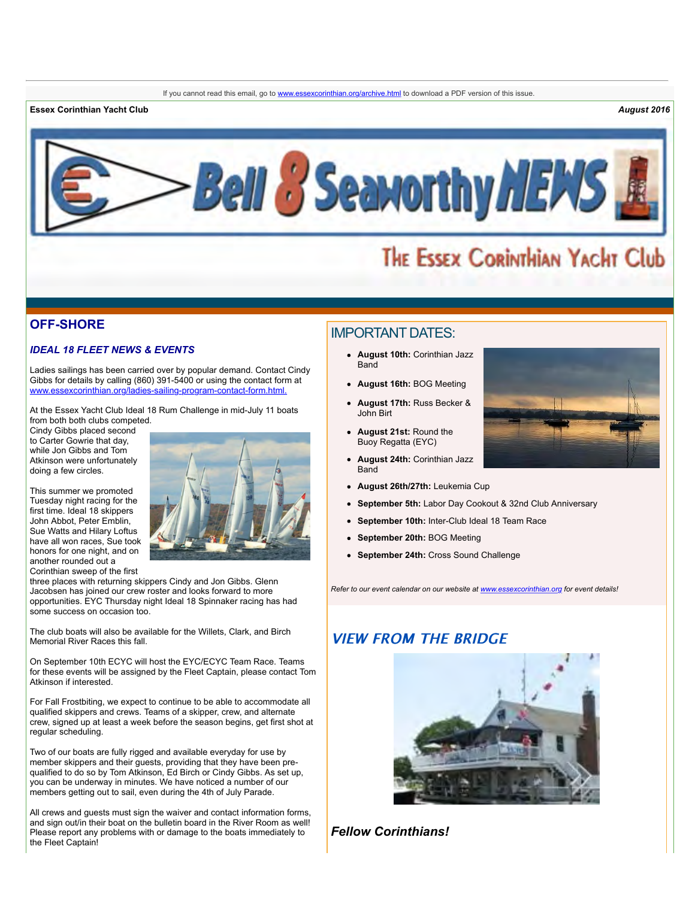**Essex Corinthian Yacht Club** *August 2016*



# THE ESSEX CORINTHIAN YACHT Club

# **OFF-SHORE**

# *IDEAL 18 FLEET NEWS & EVENTS*

Ladies sailings has been carried over by popular demand. Contact Cindy Gibbs for details by calling (860) 391-5400 or using the contact form at [www.essexcorinthian.org/ladies-sailing-program-contact-form.html.](http://r20.rs6.net/tn.jsp?t=d4difhyab.0.0.sxskahdab.0&id=preview&r=3&p=http%3A%2F%2Fwww.essexcorinthian.org%2Fladies-sailing-program-contact-form.html)

At the Essex Yacht Club Ideal 18 Rum Challenge in mid-July 11 boats from both both clubs competed.

Cindy Gibbs placed second to Carter Gowrie that day, while Jon Gibbs and Tom Atkinson were unfortunately doing a few circles.

This summer we promoted Tuesday night racing for the first time. Ideal 18 skippers John Abbot, Peter Emblin, Sue Watts and Hilary Loftus have all won races, Sue took honors for one night, and on another rounded out a Corinthian sweep of the first



three places with returning skippers Cindy and Jon Gibbs. Glenn Jacobsen has joined our crew roster and looks forward to more opportunities. EYC Thursday night Ideal 18 Spinnaker racing has had some success on occasion too.

The club boats will also be available for the Willets, Clark, and Birch Memorial River Races this fall.

On September 10th ECYC will host the EYC/ECYC Team Race. Teams for these events will be assigned by the Fleet Captain, please contact Tom Atkinson if interested.

For Fall Frostbiting, we expect to continue to be able to accommodate all qualified skippers and crews. Teams of a skipper, crew, and alternate crew, signed up at least a week before the season begins, get first shot at regular scheduling.

Two of our boats are fully rigged and available everyday for use by member skippers and their guests, providing that they have been prequalified to do so by Tom Atkinson, Ed Birch or Cindy Gibbs. As set up, you can be underway in minutes. We have noticed a number of our members getting out to sail, even during the 4th of July Parade.

All crews and guests must sign the waiver and contact information forms, and sign out/in their boat on the bulletin board in the River Room as well! Please report any problems with or damage to the boats immediately to the Fleet Captain!

# IMPORTANT DATES:

- **August 10th:** Corinthian Jazz **Band**
- **August 16th:** BOG Meeting
- $\bullet$ **August 17th:** Russ Becker & John Birt
- **August 21st:** Round the  $\bullet$ Buoy Regatta (EYC)
- **August 24th:** Corinthian Jazz  $\bullet$ Band
- **August 26th/27th:** Leukemia Cup  $\bullet$
- **September 5th:** Labor Day Cookout & 32nd Club Anniversary
- **September 10th:** Inter-Club Ideal 18 Team Race
- **September 20th:** BOG Meeting
- **September 24th:** Cross Sound Challenge

*Refer to our event calendar on our website at [www.essexcorinthian.org](http://r20.rs6.net/tn.jsp?t=d4difhyab.0.0.sxskahdab.0&id=preview&r=3&p=http%3A%2F%2Fwww.essexcorinthian.org) for event details!*

# VIEW FROM THE BRIDGE



*Fellow Corinthians!*

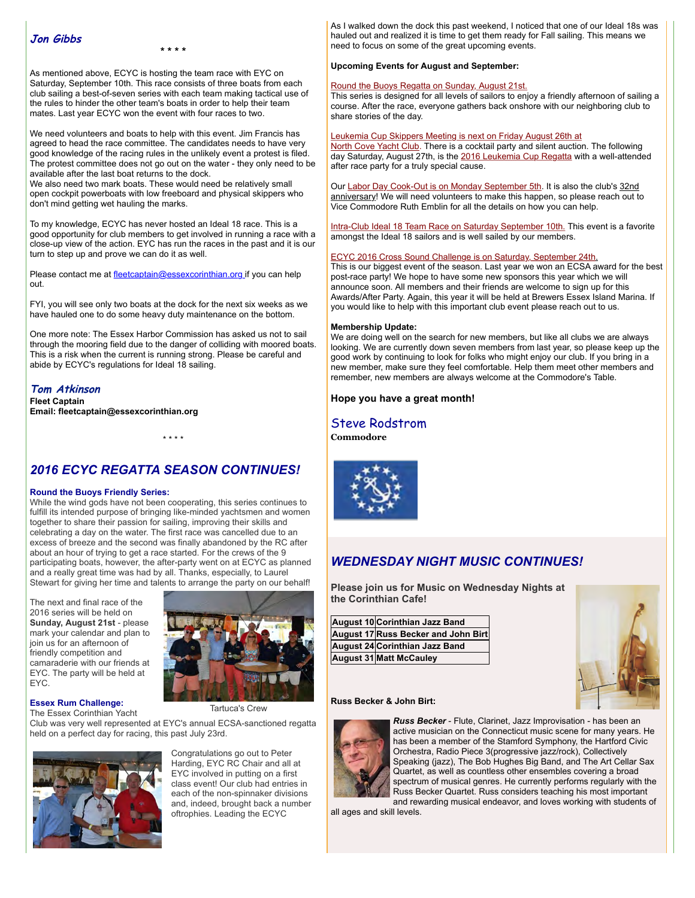# **Jon Gibbs**

#### **\* \* \* \***

As mentioned above, ECYC is hosting the team race with EYC on Saturday, September 10th. This race consists of three boats from each club sailing a best-of-seven series with each team making tactical use of the rules to hinder the other team's boats in order to help their team mates. Last year ECYC won the event with four races to two.

We need volunteers and boats to help with this event. Jim Francis has agreed to head the race committee. The candidates needs to have very good knowledge of the racing rules in the unlikely event a protest is filed. The protest committee does not go out on the water - they only need to be available after the last boat returns to the dock.

We also need two mark boats. These would need be relatively small open cockpit powerboats with low freeboard and physical skippers who don't mind getting wet hauling the marks.

To my knowledge, ECYC has never hosted an Ideal 18 race. This is a good opportunity for club members to get involved in running a race with a close-up view of the action. EYC has run the races in the past and it is our turn to step up and prove we can do it as well.

Please contact me at [fleetcaptain@essexcorinthian.org i](mailto:fleetcaptain@essexcorinthian.org)f you can help out.

FYI, you will see only two boats at the dock for the next six weeks as we have hauled one to do some heavy duty maintenance on the bottom.

One more note: The Essex Harbor Commission has asked us not to sail through the mooring field due to the danger of colliding with moored boats. This is a risk when the current is running strong. Please be careful and abide by ECYC's regulations for Ideal 18 sailing.

## **Tom Atkinson**

**Fleet Captain Email: [fleetcaptain@essexcorinthian.org](mailto:fleetcaptain@essexcorinthian.org)**

# *2016 ECYC REGATTA SEASON CONTINUES!*

\* \* \* \*

#### **Round the Buoys Friendly Series:**

While the wind gods have not been cooperating, this series continues to fulfill its intended purpose of bringing like-minded yachtsmen and women together to share their passion for sailing, improving their skills and celebrating a day on the water. The first race was cancelled due to an excess of breeze and the second was finally abandoned by the RC after about an hour of trying to get a race started. For the crews of the 9 participating boats, however, the after-party went on at ECYC as planned and a really great time was had by all. Thanks, especially, to Laurel Stewart for giving her time and talents to arrange the party on our behalf!

The next and final race of the 2016 series will be held on **Sunday, August 21st** - please mark your calendar and plan to join us for an afternoon of friendly competition and camaraderie with our friends at EYC. The party will be held at EYC.

#### **Essex Rum Challenge:**

The Essex Corinthian Yacht

Tartuca's Crew

Club was very well represented at EYC's annual ECSA-sanctioned regatta held on a perfect day for racing, this past July 23rd.



Congratulations go out to Peter Harding, EYC RC Chair and all at EYC involved in putting on a first class event! Our club had entries in each of the non-spinnaker divisions

As I walked down the dock this past weekend, I noticed that one of our Ideal 18s was hauled out and realized it is time to get them ready for Fall sailing. This means we need to focus on some of the great upcoming events.

#### **Upcoming Events for August and September:**

#### Round the Buoys Regatta on Sunday, August 21st.

This series is designed for all levels of sailors to enjoy a friendly afternoon of sailing a course. After the race, everyone gathers back onshore with our neighboring club to share stories of the day.

#### Leukemia Cup Skippers Meeting is next on Friday August 26th at

North Cove Yacht Club. There is a cocktail party and silent auction. The following day Saturday, August 27th, is the 2016 Leukemia Cup Regatta with a well-attended after race party for a truly special cause.

Our Labor Day Cook-Out is on Monday September 5th. It is also the club's 32nd anniversary! We will need volunteers to make this happen, so please reach out to Vice Commodore Ruth Emblin for all the details on how you can help.

Intra-Club Ideal 18 Team Race on Saturday September 10th. This event is a favorite amongst the Ideal 18 sailors and is well sailed by our members.

#### ECYC 2016 Cross Sound Challenge is on Saturday, September 24th.

This is our biggest event of the season. Last year we won an ECSA award for the best post-race party! We hope to have some new sponsors this year which we will announce soon. All members and their friends are welcome to sign up for this Awards/After Party. Again, this year it will be held at Brewers Essex Island Marina. If you would like to help with this important club event please reach out to us.

#### **Membership Update:**

We are doing well on the search for new members, but like all clubs we are always looking. We are currently down seven members from last year, so please keep up the good work by continuing to look for folks who might enjoy our club. If you bring in a new member, make sure they feel comfortable. Help them meet other members and remember, new members are always welcome at the Commodore's Table.

## **Hope you have a great month!**

# Steve Rodstrom

**Commodore**



# *WEDNESDAY NIGHT MUSIC CONTINUES!*

**Please join us for Music on Wednesday Nights at the Corinthian Cafe!** 

**August 10 Corinthian Jazz Band August 17 Russ Becker and John Birt August 24 Corinthian Jazz Band August 31 Matt McCauley**



#### **Russ Becker & John Birt:**



*Russ Becker* - Flute, Clarinet, Jazz Improvisation - has been an active musician on the Connecticut music scene for many years. He has been a member of the Stamford Symphony, the Hartford Civic Orchestra, Radio Piece 3(progressive jazz/rock), Collectively Speaking (jazz), The Bob Hughes Big Band, and The Art Cellar Sax Quartet, as well as countless other ensembles covering a broad spectrum of musical genres. He currently performs regularly with the Russ Becker Quartet. Russ considers teaching his most important and rewarding musical endeavor, and loves working with students of

all ages and skill levels.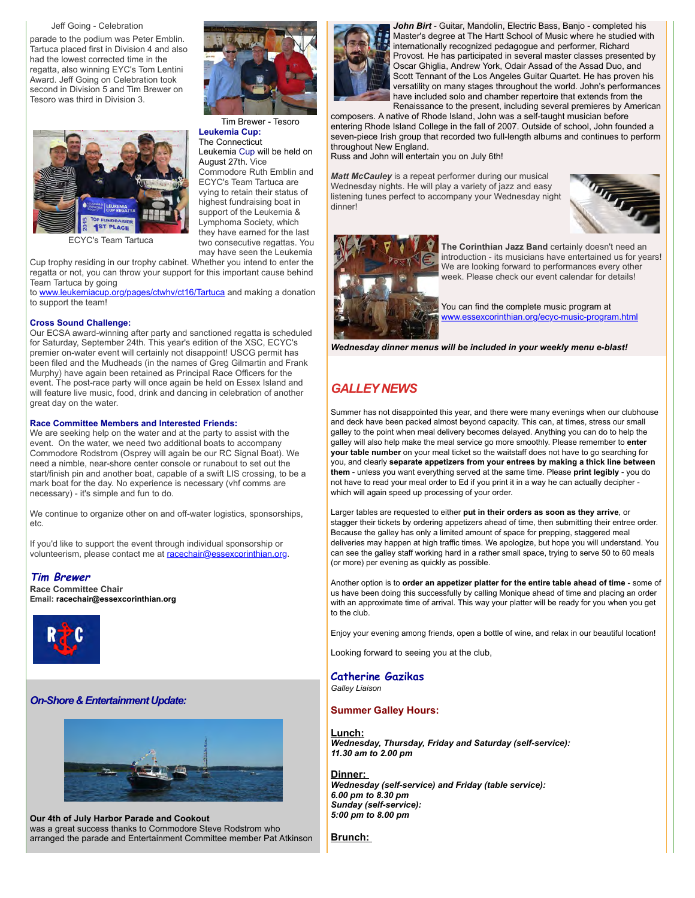#### Jeff Going - Celebration

parade to the podium was Peter Emblin. Tartuca placed first in Division 4 and also had the lowest corrected time in the regatta, also winning EYC's Tom Lentini Award. Jeff Going on Celebration took second in Division 5 and Tim Brewer on Tesoro was third in Division 3.



ECYC's Team Tartuca

Cup trophy residing in our trophy cabinet. Whether you intend to enter the regatta or not, you can throw your support for this important cause behind Team Tartuca by going

to [www.leukemiacup.org/pages/ctwhv/ct16/Tartuca](http://r20.rs6.net/tn.jsp?t=d4difhyab.0.0.sxskahdab.0&id=preview&r=3&p=http%3A%2F%2Fwww.leukemiacup.org%2Fpages%2Fctwhv%2Fct16%2FTartuca) and making a donation to support the team!

#### **Cross Sound Challenge:**

Our ECSA award-winning after party and sanctioned regatta is scheduled for Saturday, September 24th. This year's edition of the XSC, ECYC's premier on-water event will certainly not disappoint! USCG permit has been filed and the Mudheads (in the names of Greg Gilmartin and Frank Murphy) have again been retained as Principal Race Officers for the event. The post-race party will once again be held on Essex Island and will feature live music, food, drink and dancing in celebration of another great day on the water.

#### **Race Committee Members and Interested Friends:**

We are seeking help on the water and at the party to assist with the event. On the water, we need two additional boats to accompany Commodore Rodstrom (Osprey will again be our RC Signal Boat). We need a nimble, near-shore center console or runabout to set out the start/finish pin and another boat, capable of a swift LIS crossing, to be a mark boat for the day. No experience is necessary (vhf comms are necessary) - it's simple and fun to do.

We continue to organize other on and off-water logistics, sponsorships, etc.

If you'd like to support the event through individual sponsorship or volunteerism, please contact me at [racechair@essexcorinthian.org](mailto:racechair@essexcorinthian.org).

## **Tim Brewer**

**Race Committee Chair Email: [racechair@essexcorinthian.org](mailto:racechair@essexcorinthian.org)**



## *On-Shore & Entertainment Update:*



**Our 4th of July Harbor Parade and Cookout** was a great success thanks to Commodore Steve Rodstrom who arranged the parade and Entertainment Committee member Pat Atkinson



Tim Brewer - Tesoro **Leukemia Cup:** 

The Connecticut Leukemia Cup will be held on August 27th. Vice Commodore Ruth Emblin and ECYC's Team Tartuca are vying to retain their status of highest fundraising boat in support of the Leukemia & Lymphoma Society, which they have earned for the last two consecutive regattas. You may have seen the Leukemia

*John Birt* - Guitar, Mandolin, Electric Bass, Banjo - completed his Master's degree at The Hartt School of Music where he studied with internationally recognized pedagogue and performer, Richard Provost. He has participated in several master classes presented by Oscar Ghiglia, Andrew York, Odair Assad of the Assad Duo, and Scott Tennant of the Los Angeles Guitar Quartet. He has proven his versatility on many stages throughout the world. John's performances have included solo and chamber repertoire that extends from the Renaissance to the present, including several premieres by American

composers. A native of Rhode Island, John was a self-taught musician before entering Rhode Island College in the fall of 2007. Outside of school, John founded a seven-piece Irish group that recorded two full-length albums and continues to perform throughout New England.

Russ and John will entertain you on July 6th!

*Matt McCauley* is a repeat performer during our musical Wednesday nights. He will play a variety of jazz and easy listening tunes perfect to accompany your Wednesday night dinner!





**The Corinthian Jazz Band** certainly doesn't need an introduction - its musicians have entertained us for years! We are looking forward to performances every other week. Please check our event calendar for details!

You can find the complete music program at [www.essexcorinthian.org/ecyc-music-program.html](http://r20.rs6.net/tn.jsp?t=d4difhyab.0.0.sxskahdab.0&id=preview&r=3&p=http%3A%2F%2Fwww.essexcorinthian.org%2Fecyc-music-program.html)

*Wednesday dinner menus will be included in your weekly menu e-blast!*

# *GALLEY NEWS*

Summer has not disappointed this year, and there were many evenings when our clubhouse and deck have been packed almost beyond capacity. This can, at times, stress our small galley to the point when meal delivery becomes delayed. Anything you can do to help the galley will also help make the meal service go more smoothly. Please remember to **enter your table number** on your meal ticket so the waitstaff does not have to go searching for you, and clearly **separate appetizers from your entrees by making a thick line between them** - unless you want everything served at the same time. Please **print legibly** - you do not have to read your meal order to Ed if you print it in a way he can actually decipher which will again speed up processing of your order.

Larger tables are requested to either **put in their orders as soon as they arrive**, or stagger their tickets by ordering appetizers ahead of time, then submitting their entree order. Because the galley has only a limited amount of space for prepping, staggered meal deliveries may happen at high traffic times. We apologize, but hope you will understand. You can see the galley staff working hard in a rather small space, trying to serve 50 to 60 meals (or more) per evening as quickly as possible.

Another option is to **order an appetizer platter for the entire table ahead of time** - some of us have been doing this successfully by calling Monique ahead of time and placing an order with an approximate time of arrival. This way your platter will be ready for you when you get to the club.

Enjoy your evening among friends, open a bottle of wine, and relax in our beautiful location!

Looking forward to seeing you at the club,

## **Catherine Gazikas**

# *Galley Liaison*

## **Summer Galley Hours:**

**Lunch:** *Wednesday, Thursday, Friday and Saturday (self-service): 11.30 am to 2.00 pm* 

**Dinner:**  *Wednesday (self-service) and Friday (table service): 6.00 pm to 8.30 pm Sunday (self-service): 5:00 pm to 8.00 pm*

**Brunch:**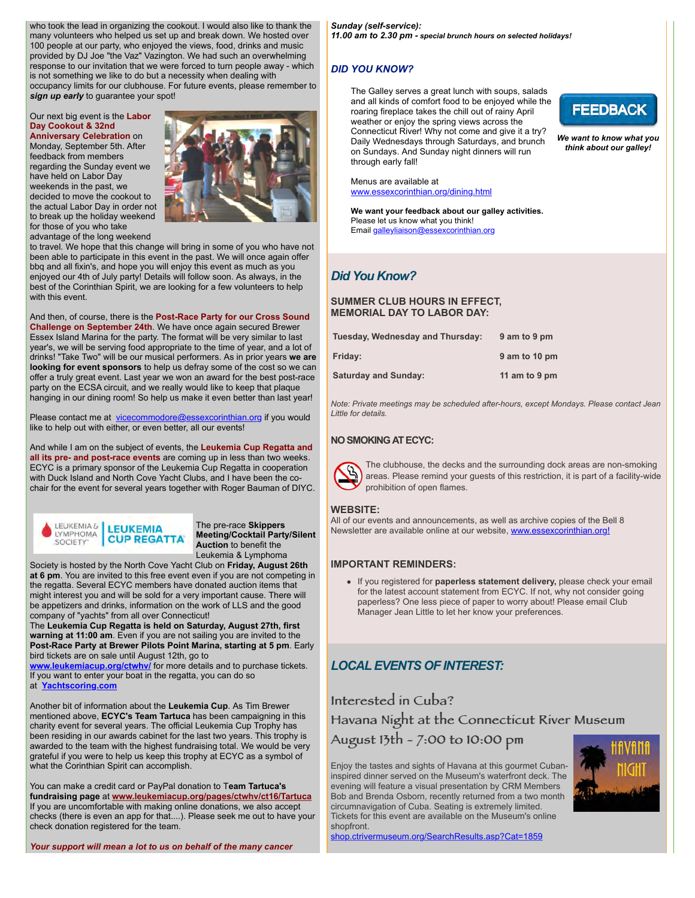who took the lead in organizing the cookout. I would also like to thank the many volunteers who helped us set up and break down. We hosted over 100 people at our party, who enjoyed the views, food, drinks and music provided by DJ Joe "the Vaz" Vazington. We had such an overwhelming response to our invitation that we were forced to turn people away - which is not something we like to do but a necessity when dealing with occupancy limits for our clubhouse. For future events, please remember to *sign up early* to guarantee your spot!

## Our next big event is the **Labor Day Cookout & 32nd**

**Anniversary Celebration** on Monday, September 5th. After feedback from members regarding the Sunday event we have held on Labor Day weekends in the past, we decided to move the cookout to the actual Labor Day in order not to break up the holiday weekend for those of you who take

advantage of the long weekend

to travel. We hope that this change will bring in some of you who have not been able to participate in this event in the past. We will once again offer bbq and all fixin's, and hope you will enjoy this event as much as you enjoyed our 4th of July party! Details will follow soon. As always, in the best of the Corinthian Spirit, we are looking for a few volunteers to help with this event.

And then, of course, there is the **Post-Race Party for our Cross Sound Challenge on September 24th**. We have once again secured Brewer Essex Island Marina for the party. The format will be very similar to last year's, we will be serving food appropriate to the time of year, and a lot of drinks! "Take Two" will be our musical performers. As in prior years **we are looking for event sponsors** to help us defray some of the cost so we can offer a truly great event. Last year we won an award for the best post-race party on the ECSA circuit, and we really would like to keep that plaque hanging in our dining room! So help us make it even better than last year!

Please contact me at [vicecommodore@essexcorinthian.org](mailto:vicecommodore@essexcorinthian.org) if you would like to help out with either, or even better, all our events!

And while I am on the subject of events, the **Leukemia Cup Regatta and all its pre- and post-race events** are coming up in less than two weeks. ECYC is a primary sponsor of the Leukemia Cup Regatta in cooperation with Duck Island and North Cove Yacht Clubs, and I have been the cochair for the event for several years together with Roger Bauman of DIYC.



The pre-race **Skippers Meeting/Cocktail Party/Silent Auction** to benefit the Leukemia & Lymphoma

Society is hosted by the North Cove Yacht Club on **Friday, August 26th at 6 pm**. You are invited to this free event even if you are not competing in the regatta. Several ECYC members have donated auction items that might interest you and will be sold for a very important cause. There will be appetizers and drinks, information on the work of LLS and the good company of "yachts" from all over Connecticut!

The **Leukemia Cup Regatta is held on Saturday, August 27th, first warning at 11:00 am**. Even if you are not sailing you are invited to the **Post-Race Party at Brewer Pilots Point Marina, starting at 5 pm**. Early bird tickets are on sale until August 12th, go to

**[www.leukemiacup.org/ctwhv/](http://r20.rs6.net/tn.jsp?t=d4difhyab.0.0.sxskahdab.0&id=preview&r=3&p=http%3A%2F%2Fwww.leukemiacup.org%2Fctwhv%2F)** for more details and to purchase tickets. If you want to enter your boat in the regatta, you can do so at **[Yachtscoring.com](http://r20.rs6.net/tn.jsp?t=d4difhyab.0.0.sxskahdab.0&id=preview&r=3&p=http%3A%2F%2Fwww.yachtscoring.com%2Fevent_registration_email.cfm%3Feid%3D1576)**

Another bit of information about the **Leukemia Cup**. As Tim Brewer mentioned above, **ECYC's Team Tartuca** has been campaigning in this charity event for several years. The official Leukemia Cup Trophy has been residing in our awards cabinet for the last two years. This trophy is awarded to the team with the highest fundraising total. We would be very grateful if you were to help us keep this trophy at ECYC as a symbol of what the Corinthian Spirit can accomplish.

You can make a credit card or PayPal donation to T**eam Tartuca's fundraising page** at **[www.leukemiacup.org/pages/ctwhv/ct16/Tartuca](http://r20.rs6.net/tn.jsp?t=d4difhyab.0.0.sxskahdab.0&id=preview&r=3&p=http%3A%2F%2Fwww.leukemiacup.org%2Fpages%2Fctwhv%2Fct16%2FTartuca)** If you are uncomfortable with making online donations, we also accept checks (there is even an app for that....). Please seek me out to have your check donation registered for the team.

*Sunday (self-service): 11.00 am to 2.30 pm - special brunch hours on selected holidays!*

# *DID YOU KNOW?*

The Galley serves a great lunch with soups, salads and all kinds of comfort food to be enjoyed while the roaring fireplace takes the chill out of rainy April weather or enjoy the spring views across the Connecticut River! Why not come and give it a try? Daily Wednesdays through Saturdays, and brunch on Sundays. And Sunday night dinners will run through early fall!



*We want to know what you think about our galley!*

Menus are available at [www.essexcorinthian.org/dining.html](http://r20.rs6.net/tn.jsp?t=d4difhyab.0.0.sxskahdab.0&id=preview&r=3&p=http%3A%2F%2Fwww.essexcorinthian.org%2Fdining.html)

**We want your feedback about our galley activities.** Please let us know what you think!

Email [galleyliaison@essexcorinthian.org](mailto:galleyliaison@essexcorinthian.org)

# *Did You Know?*

## **SUMMER CLUB HOURS IN EFFECT, MEMORIAL DAY TO LABOR DAY:**

| Tuesday, Wednesday and Thursday: | 9 am to 9 pm  |
|----------------------------------|---------------|
| Fridav:                          | 9 am to 10 pm |
| <b>Saturdav and Sundav:</b>      | 11 am to 9 pm |

*Note: Private meetings may be scheduled after-hours, except Mondays. Please contact Jean Little for details.*

## **NO SMOKING AT ECYC:**



The clubhouse, the decks and the surrounding dock areas are non-smoking areas. Please remind your guests of this restriction, it is part of a facility-wide prohibition of open flames.

## **WEBSITE:**

All of our events and announcements, as well as archive copies of the Bell 8 Newsletter are available online at our website, [www.essexcorinthian.org!](http://r20.rs6.net/tn.jsp?t=d4difhyab.0.0.sxskahdab.0&id=preview&r=3&p=http%3A%2F%2Fwww.essexcorinthian.org%21)

## **IMPORTANT REMINDERS:**

If you registered for **paperless statement delivery,** please check your email for the latest account statement from ECYC. If not, why not consider going paperless? One less piece of paper to worry about! Please email Club Manager Jean Little to let her know your preferences.

# *LOCAL EVENTS OF INTEREST:*

Interested in  $Cuba?$ Havana Night at the Connecticut River Museum August 13th - 7:00 to 10:00 pm

Enjoy the tastes and sights of Havana at this gourmet Cubaninspired dinner served on the Museum's waterfront deck. The evening will feature a visual presentation by CRM Members Bob and Brenda Osborn, recently returned from a two month circumnavigation of Cuba. Seating is extremely limited. Tickets for this event are available on the Museum's online shopfront.



*Your support will mean a lot to us on behalf of the many cancer*

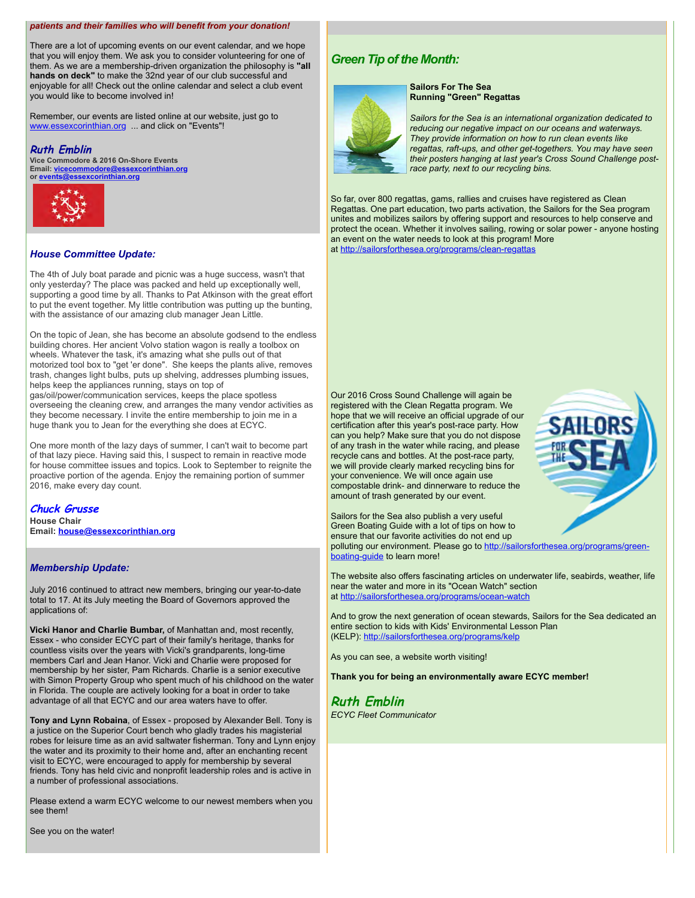#### *patients and their families who will benefit from your donation!*

There are a lot of upcoming events on our event calendar, and we hope that you will enjoy them. We ask you to consider volunteering for one of them. As we are a membership-driven organization the philosophy is **"all hands on deck"** to make the 32nd year of our club successful and enjoyable for all! Check out the online calendar and select a club event you would like to become involved in!

Remember, our events are listed online at our website, just go to [www.essexcorinthian.org](http://r20.rs6.net/tn.jsp?t=d4difhyab.0.0.sxskahdab.0&id=preview&r=3&p=http%3A%2F%2Fwww.essexcorinthian.org) ... and click on "Events"!

#### **Ruth Emblin**

**Vice Commodore & 2016 On-Shore Events Email: [vicecommodore@essexcorinthian.org](mailto:vicecommodore@essexcorinthian.org) or [events@essexcorinthian.org](mailto:events@essexcorinthian.org)**



#### *House Committee Update:*

The 4th of July boat parade and picnic was a huge success, wasn't that only yesterday? The place was packed and held up exceptionally well, supporting a good time by all. Thanks to Pat Atkinson with the great effort to put the event together. My little contribution was putting up the bunting, with the assistance of our amazing club manager Jean Little.

On the topic of Jean, she has become an absolute godsend to the endless building chores. Her ancient Volvo station wagon is really a toolbox on wheels. Whatever the task, it's amazing what she pulls out of that motorized tool box to "get 'er done". She keeps the plants alive, removes trash, changes light bulbs, puts up shelving, addresses plumbing issues, helps keep the appliances running, stays on top of

gas/oil/power/communication services, keeps the place spotless overseeing the cleaning crew, and arranges the many vendor activities as they become necessary. I invite the entire membership to join me in a huge thank you to Jean for the everything she does at ECYC.

One more month of the lazy days of summer, I can't wait to become part of that lazy piece. Having said this, I suspect to remain in reactive mode for house committee issues and topics. Look to September to reignite the proactive portion of the agenda. Enjoy the remaining portion of summer 2016, make every day count.

**Chuck Grusse House Chair Email: [house@essexcorinthian.org](mailto:house@essexcorinthian.org)**

#### *Membership Update:*

July 2016 continued to attract new members, bringing our year-to-date total to 17. At its July meeting the Board of Governors approved the applications of:

**Vicki Hanor and Charlie Bumbar,** of Manhattan and, most recently, Essex - who consider ECYC part of their family's heritage, thanks for countless visits over the years with Vicki's grandparents, long-time members Carl and Jean Hanor. Vicki and Charlie were proposed for membership by her sister, Pam Richards. Charlie is a senior executive with Simon Property Group who spent much of his childhood on the water in Florida. The couple are actively looking for a boat in order to take advantage of all that ECYC and our area waters have to offer.

**Tony and Lynn Robaina**, of Essex - proposed by Alexander Bell. Tony is a justice on the Superior Court bench who gladly trades his magisterial robes for leisure time as an avid saltwater fisherman. Tony and Lynn enjoy the water and its proximity to their home and, after an enchanting recent visit to ECYC, were encouraged to apply for membership by several friends. Tony has held civic and nonprofit leadership roles and is active in a number of professional associations.

Please extend a warm ECYC welcome to our newest members when you see them!

# *Green Tip of the Month:*



#### **Sailors For The Sea Running "Green" Regattas**

*Sailors for the Sea is an international organization dedicated to reducing our negative impact on our oceans and waterways. They provide information on how to run clean events like regattas, raft-ups, and other get-togethers. You may have seen their posters hanging at last year's Cross Sound Challenge postrace party, next to our recycling bins.*

So far, over 800 regattas, gams, rallies and cruises have registered as Clean Regattas. One part education, two parts activation, the Sailors for the Sea program unites and mobilizes sailors by offering support and resources to help conserve and protect the ocean. Whether it involves sailing, rowing or solar power - anyone hosting an event on the water needs to look at this program! More at [http://sailorsforthesea.org/programs/clean-regattas](http://r20.rs6.net/tn.jsp?t=d4difhyab.0.0.sxskahdab.0&id=preview&r=3&p=http%3A%2F%2Fsailorsforthesea.org%2Fprograms%2Fclean-regattas)

Our 2016 Cross Sound Challenge will again be registered with the Clean Regatta program. We hope that we will receive an official upgrade of our certification after this year's post-race party. How can you help? Make sure that you do not dispose of any trash in the water while racing, and please recycle cans and bottles. At the post-race party, we will provide clearly marked recycling bins for your convenience. We will once again use compostable drink- and dinnerware to reduce the amount of trash generated by our event.



Sailors for the Sea also publish a very useful Green Boating Guide with a lot of tips on how to ensure that our favorite activities do not end up

[polluting our environment. Please go to http://sailorsforthesea.org/programs/green](http://r20.rs6.net/tn.jsp?t=d4difhyab.0.0.sxskahdab.0&id=preview&r=3&p=http%3A%2F%2Fsailorsforthesea.org%2Fprograms%2Fgreen-boating-guide)boating-guide to learn more!

The website also offers fascinating articles on underwater life, seabirds, weather, life near the water and more in its "Ocean Watch" section at [http://sailorsforthesea.org/programs/ocean-watch](http://r20.rs6.net/tn.jsp?t=d4difhyab.0.0.sxskahdab.0&id=preview&r=3&p=http%3A%2F%2Fsailorsforthesea.org%2Fprograms%2Focean-watch)

And to grow the next generation of ocean stewards, Sailors for the Sea dedicated an entire section to kids with Kids' Environmental Lesson Plan (KELP): [http://sailorsforthesea.org/programs/kelp](http://r20.rs6.net/tn.jsp?t=d4difhyab.0.0.sxskahdab.0&id=preview&r=3&p=http%3A%2F%2Fsailorsforthesea.org%2Fprograms%2Fkelp)

As you can see, a website worth visiting!

**Thank you for being an environmentally aware ECYC member!**

**Ruth Emblin** 

*ECYC Fleet Communicator*

See you on the water!